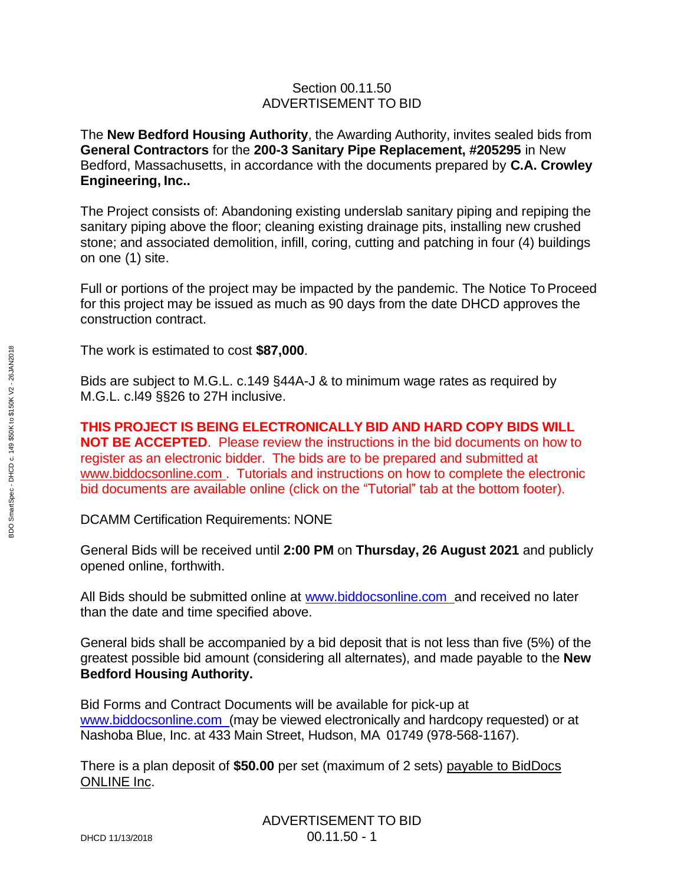## Section 00.11.50 ADVERTISEMENT TO BID

The **New Bedford Housing Authority**, the Awarding Authority, invites sealed bids from **General Contractors** for the **200-3 Sanitary Pipe Replacement, #205295** in New Bedford, Massachusetts, in accordance with the documents prepared by **C.A. Crowley Engineering, Inc..**

The Project consists of: Abandoning existing underslab sanitary piping and repiping the sanitary piping above the floor; cleaning existing drainage pits, installing new crushed stone; and associated demolition, infill, coring, cutting and patching in four (4) buildings on one (1) site.

Full or portions of the project may be impacted by the pandemic. The Notice To Proceed for this project may be issued as much as 90 days from the date DHCD approves the construction contract.

The work is estimated to cost **\$87,000**.

Bids are subject to M.G.L. c.149 §44A-J & to minimum wage rates as required by M.G.L. c.l49 §§26 to 27H inclusive.

**THIS PROJECT IS BEING ELECTRONICALLY BID AND HARD COPY BIDS WILL NOT BE ACCEPTED**. Please review the instructions in the bid documents on how to register as an electronic bidder. The bids are to be prepared and submitted at [www.biddocsonline.com](http://www.biddocsonline.com/) . Tutorials and instructions on how to complete the electronic bid documents are available online (click on the "Tutorial" tab at the bottom footer).

DCAMM Certification Requirements: NONE

General Bids will be received until **2:00 PM** on **Thursday, 26 August 2021** and publicly opened online, forthwith.

All Bids should be submitted online at [www.biddocsonline.com](http://www.biddocsonline.com/) and received no later than the date and time specified above.

General bids shall be accompanied by a bid deposit that is not less than five (5%) of the greatest possible bid amount (considering all alternates), and made payable to the **New Bedford Housing Authority.**

Bid Forms and Contract Documents will be available for pick-up at [www.biddocsonline.com](http://www.biddocsonline.com/) (may be viewed electronically and hardcopy requested) or at Nashoba Blue, Inc. at 433 Main Street, Hudson, MA 01749 (978-568-1167).

There is a plan deposit of **\$50.00** per set (maximum of 2 sets) payable to BidDocs ONLINE Inc.